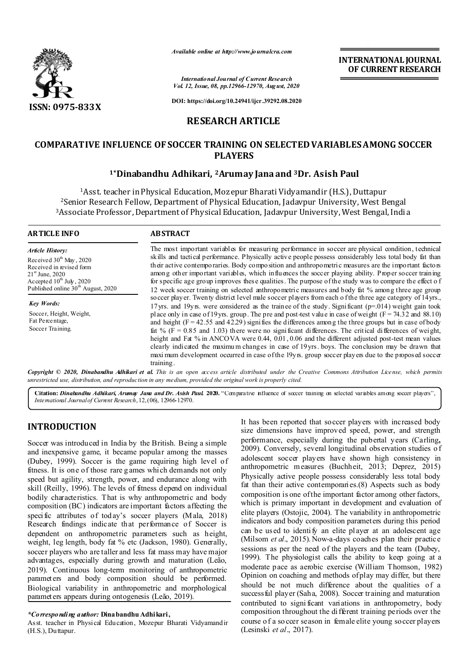

*Available online at http://www.journalcra.com*

**INTERNATIONAL JOURNAL OF CURRENT RESEARCH**

*International Journal of Current Research Vol. 12, Issue, 08, pp.12966-12970, August, 2020*

**DOI: https://doi.org/10.24941/ijcr.39292.08.2020**

# **RESEARCH ARTICLE**

# **COMPARATIVE INFLUENCE OF SOCCER TRAINING ON SELECTED VARIABLES AMONG SOCCER PLAYERS**

## **1\*Dinabandhu Adhikari, 2Arumay Jana and 3Dr. Asish Paul**

1Asst. teacher in Physical Education, Mozepur Bharati Vidyamandir (H.S.), Duttapur 2Senior Research Fellow, Department of Physical Education, Jadavpur University, West Bengal 3Associate Professor, Department of Physical Education, Jadavpur University, West Bengal, India

| ARTICLE INFO                                                                                                                                               | <b>ABSTRACT</b>                                                                                                                                                                                                                                                                                                                                                                                                                                                                                                                                  |  |  |
|------------------------------------------------------------------------------------------------------------------------------------------------------------|--------------------------------------------------------------------------------------------------------------------------------------------------------------------------------------------------------------------------------------------------------------------------------------------------------------------------------------------------------------------------------------------------------------------------------------------------------------------------------------------------------------------------------------------------|--|--|
| Article History:<br>Received 30 <sup>th</sup> May, 2020<br>Received in revised form<br>$21^{\text{st}}$ June, 2020<br>Accepted $10^{\text{th}}$ July, 2020 | The most important variables for measuring performance in soccer are physical condition, technical<br>skills and tactical performance. Physically active people possess considerably less total body fat than<br>their active contemporaries. Body composition and anthropometric measures are the important factors<br>among other important variables, which influences the soccer playing ability. Proper soccer training<br>for specific age group improves these qualities. The purpose of the study was to compare the effect of           |  |  |
| Published online 30 <sup>th</sup> August, 2020<br><b>Key Words:</b><br>Soccer, Height, Weight,                                                             | 12 week soccer training on selected anthropometric measures and body fat % among three age group<br>so ccer player. Twenty district level male soccer players from each of the three age category of 14 yrs.,<br>17 yrs. and 19 yrs. were considered as the trainee of the study. Significant ( $p=0.014$ ) weight gain took<br>place only in case of 19 yrs. group. The pre and post-test value in case of weight $(F = 74.32$ and 88.10)                                                                                                       |  |  |
| Fat Percentage,<br>Soccer Training.                                                                                                                        | and height $(F = 42.55$ and $42.29$ ) signifies the differences among the three groups but in case of body<br>fat % ( $F = 0.85$ and 1.03) there were no significant differences. The critical differences of weight,<br>height and Fat % in ANCOVA were 0.44, 0.01, 0.06 and the different adjusted post-test mean values<br>clearly indicated the maximum changes in case of 19yrs. boys. The conclusion may be drawn that<br>maxi mum development occurred in case of the 19yrs. group soccer players due to the proposed soccer<br>training. |  |  |

Copyright © 2020, Dinabandhu Adhikari et al. This is an open access article distributed under the Creative Commons Attribution License, which permits *unrestricted use, distribution, and reproduction in any medium, provided the original work is properly cited.*

**Citation:** *Dinabandhu Adhikari, Arumay Jana and Dr. Asish Paul.* **2020.** "Comparative influence of soccer training on selected variables among soccer players", *International Journal of Current Research*, 12, (06), 12966-12970.

# **INTRODUCTION**

Soccer was introduced in India by the British. Being a simple and inexpensive game, it became popular among the masses (Dubey, 1999). Soccer is the game requiring high level of fitness. It is one of those rare g ames which demands not only speed but agility, strength, power, and endurance along with skill (Reilly, 1996). The levels of fitness depend on individual bodily characteristics. That is why anthropometric and body composition (BC) indicators are important factors affecting the specific attributes of today's soccer players (Mala, 2018) Research findings indicate that performance of Soccer is dependent on anthropometric parameters such as height, weight, leg length, body fat % etc (Jackson, 1980). Generally, soccer players who are taller and less fat mass may have major advantages, especially during growth and maturation (Leão, 2019). Continuous long-term monitoring of anthropometric parameters and body composition should be performed. Biological variability in anthropometric and morphological parameters appears during ontogenesis (Leão, 2019).

### *\*Corresponding author:* **Dinabandhu Adhikari,**

Asst. teacher in Physical Education, Mozepur Bharati Vidyamandir (H.S.), Duttapur.

It has been reported that soccer players with increased body size dimensions have improved speed, power, and strength performance, especially during the pubertal years (Carling**,**  2009). Conversely, several longitudinal observation studies o f adolescent soccer players have shown high consistency in anthropometric measures (Buchheit, 2013; Deprez, 2015) Physically active people possess considerably less total body fat than their active contemporaries.(8) Aspects such as body composition is one of the important factor among other factors, which is primary important in development and evaluation of elite players (Ostojic, 2004). The variability in anthropometric indicators and body composition parameters during this period can be used to identify an elite player at an adolescent age (Milsom *et al*., 2015). Now-a-days coaches plan their practice sessions as per the need of the players and the team (Dubey, 1999). The physiologist calls the ability to keep going at a moderate pace as aerobic exercise (William Thomson, 1982) Opinion on coaching and methods of play may differ, but there should be not much difference about the qualities of a success ful player (Saha, 2008). Soccer training and maturation contributed to signi ficant variations in anthropometry, body composition throughout the di fferent training periods over the course of a so ccer season in female elite young soccer players (Lesinski *et al*., 2017).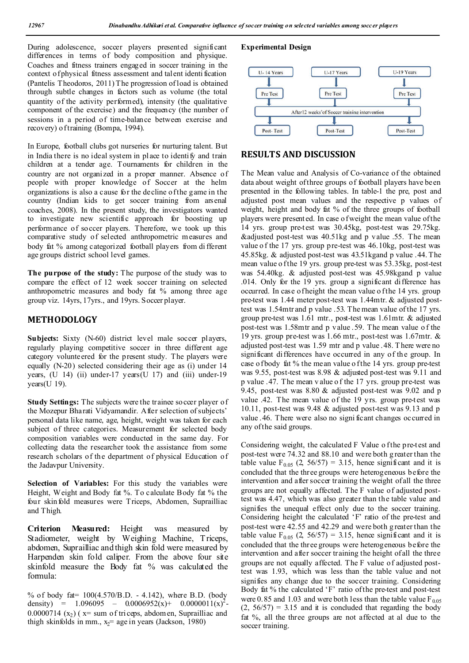During adolescence, soccer players presented significant differences in terms of body composition and physique. Coaches and fitness trainers engaged in soccer training in the context of physical fitness assessment and talent identi fication (Pantelis Theodoros, 2011) The progression of load is obtained through subtle changes in factors such as volume (the total quantity of the activity performed), intensity (the qualitative component of the exercise) and the frequency (the number of sessions in a period of time-balance between exercise and recovery) of training (Bompa, 1994).

In Europe, football clubs got nurseries for nurturing talent. But in India there is no ideal system in place to identify and train children at a tender age. Tournaments for children in the country are not organized in a proper manner. Absence of people with proper knowledge of Soccer at the helm organizations is also a cause for the decline of the game in the country (Indian kids to get soccer training from arsenal coaches, 2008). In the present study, the investigators wanted to investigate new scientific approach for boosting up performance of soccer players. Therefore, we took up this comparative study of selected anthropometric measures and body fat % among categorized football players from di fferent age groups district school level games.

**The purpose of the study:** The purpose of the study was to compare the effect of 12 week soccer training on selected anthropometric measures and body fat % among three age group viz. 14yrs, 17yrs., and 19yrs. Soccer player.

## **METHODOLOGY**

**Subjects:** Sixty (N-60) district level male soccer players, regularly playing competitive soccer in three different age category volunteered for the present study. The players were equally (N-20) selected considering their age as (i) under 14 years,  $(U 14)$  (ii) under-17 years $(U 17)$  and (iii) under-19  $years$ (U 19).

**Study Settings:** The subjects were the trainee soccer player of the Mozepur Bharati Vidyamandir. After selection of subjects' personal data like name, age, height, weight was taken for each subject of three categories. Measurement for selected body composition variables were conducted in the same day. For collecting data the researcher took the assistance from some research scholars of the department of physical Education of the Jadavpur University.

**Selection of Variables:** For this study the variables were Height, Weight and Body fat %. To calculate Body fat % the four skin fold measures were Triceps, Abdomen, Suprailliac and Thigh.

**Criterion Measured:** Height was measured by Stadiometer, weight by Weighing Machine, Triceps, abdomen, Suprailliac and thigh skin fold were measured by Harpenden skin fold caliper. From the above four site skinfold measure the Body fat % was calculated the formula:

% of body fat= 100(4.570/B.D. - 4.142), where B.D. (body density) = 1.096095 - 0.0006952(x)+ 0.0000011(x)<sup>2</sup>-0.0000714  $(x_2)$  ( $x=$  sum of triceps, abdom en, Suprailliac and thigh skinfolds in mm.,  $x_2$  age in years (Jackson, 1980)

## **Experimental Design**



## **RESULTS AND DISCUSSION**

The Mean value and Analysis of Co-variance of the obtained data about weight of three groups of football players have been presented in the following tables. In table-1 the pre, post and adjusted post mean values and the respective p values of weight, height and body fat % of the three groups of football players were presented. In case of weight the mean value of the 14 yrs. group pre-test was 30.45kg, post-test was 29.75kg. &adjusted post-test was 40.51kg and p value .55. The mean value o f the 17 yrs. group pre-test was 46.10kg, post-test was 45.85kg. & adjusted post-test was 43.51kgand p value .44. The mean value o f the 19 yrs. group pre-test was 53.35kg, post-test was 54.40kg. & adjusted post-test was 45.98kgand p value .014. Only for the 19 yrs. group a significant difference has occurred. In case of height the mean value of the 14 yrs. group pre-test was 1.44 meter post-test was 1.44mtr. & adjusted posttest was 1.54mtr and p value .53. The mean value of the 17 yrs. group pre-test was 1.61 mtr., post-test was 1.61mtr. & adjusted post-test was 1.58mtr and p value .59. The mean value o f the 19 yrs. group pre-test was 1.66 mtr., post-test was 1.67mtr. & adjusted post-test was 1.59 mtr and p value .48. T here were no significant differences have occurred in any of the group. In case of body fat % the mean value o f the 14 yrs. group pre-test was 9.55, post-test was 8.98 & adjusted post-test was 9.11 and p value .47. The mean v alue o f the 17 yrs. group pre-test was 9.45, post-test was 8.80 & adjusted post-test was 9.02 and p value .42. The mean value of the 19 yrs. group pre-test was 10.11, post-test was 9.48 & adjusted post-test was 9.13 and p value .46. There were also no signi ficant changes occurred in any of the said groups.

Considering weight, the calculated F Value of the pre-test and post-test were 74.32 and 88.10 and were both g reater than the table value  $F_{0.05}$  (2, 56/57) = 3.15, hence significant and it is concluded that the three groups were heterogeneous before the intervention and after soccer training the weight of all the three groups are not equally affected. The F value of adjusted posttest was 4.47, which was also greater than the table value and signifies the unequal effect only due to the soccer training. Considering height the calculated 'F' ratio of the pre-test and post-test were 42.55 and 42.29 and were both g reater than the table value  $F_{0.05}$  (2, 56/57) = 3.15, hence significant and it is concluded that the three groups were heterogeneous before the intervention and after soccer training the height of all the three groups are not equally affected. The F value of adjusted posttest was 1.93, which was less than the table value and not signifies any change due to the soccer training. Considering Body fat % the calculated 'F' ratio of the pre-test and post-test were 0.85 and 1.03 and were both less than the table value  $F_{0.05}$  $(2, 56/57) = 3.15$  and it is concluded that regarding the body fat %, all the three groups are not affected at al due to the soccer training.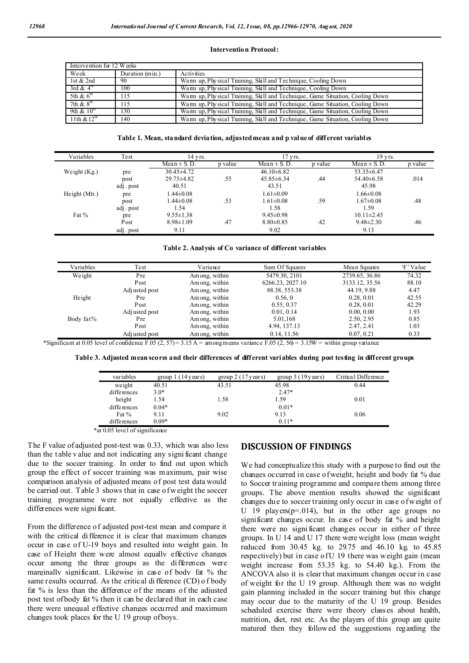#### **Intervention Protocol:**

| Intervention for 12 Weeks |                 |                                                                               |
|---------------------------|-----------------|-------------------------------------------------------------------------------|
| Week                      | Duration (min.) | Activities                                                                    |
| 1st $& 2nd$               | 90              | Warm up, Physical Training, Skill and Technique, Cooling Down                 |
| 3rd & $4^{\circ}$         | 100             | Warm up, Physical Training, Skill and Technique, Cooling Down                 |
| 5th & $6th$               | 115             | Warm up, Physical Training, Skill and Technique, Game Situation, Cooling Down |
| 7th $\&$ 8 <sup>th</sup>  | 115             | Warm up, Physical Training, Skill and Technique, Game Situation, Cooling Down |
| 9th $\&$ 10 <sup>th</sup> | 130             | Warm up, Physical Training, Skill and Technique, Game Situation, Cooling Down |
| 11th $& 12^{\text{th}}$   | 140             | Warm up, Physical Training, Skill and Technique, Game Situation, Cooling Down |

#### **Table 1. Mean, standard deviation, adjusted mean and p value of different variables**

| Variables      | Test      | 14 yrs.          |         | $17$ yrs.        |         | 19 yrs.          |         |
|----------------|-----------|------------------|---------|------------------|---------|------------------|---------|
|                |           | Mean $\pm$ S. D. | p value | Mean $\pm$ S. D. | p value | Mean $\pm$ S. D. | p value |
| Weight $(Kg.)$ | pre       | $30.45 \pm 4.72$ |         | $46.10\pm6.82$   |         | $53.35 \pm 6.47$ |         |
|                | post      | $29.75 \pm 4.82$ | .55     | $45.85\pm 6.34$  | .44     | $54.40\pm6.58$   | .014    |
|                | adj. post | 40.51            |         | 43.51            |         | 45.98            |         |
| Height (Mtr.)  | pre       | .44 $\pm 0.08$   |         | $1.61 \pm 0.09$  |         | $1.66 \pm 0.08$  |         |
|                | post      | $.44 \pm 0.08$   | .53     | $1.61 \pm 0.08$  | .59     | $1.67 \pm 0.08$  | .48     |
|                | adj. post | 1.54             |         | 1.58             |         | 1.59             |         |
| Fat $%$        | pre       | $9.55 \pm 1.38$  |         | $9.45 \pm 0.98$  |         | $10.11 \pm 2.45$ |         |
|                | Post      | $8.98 \pm 1.09$  | .47     | $8.80\pm0.85$    | .42     | $9.48 \pm 2.30$  | .46     |
|                | adj. post | 9.11             |         | 9.02             |         | 9.13             |         |

#### **Table 2. Analysis of Co variance of different variables**

| Variables | Test          | Variance      | Sum Of Squares   | Mean Squares   | 'F' Value |
|-----------|---------------|---------------|------------------|----------------|-----------|
| Weight    | Pre           | Among, within | 5479.30, 2101    | 2739.65, 36.86 | 74.32     |
|           | Post          | Among, within | 6266.23, 2027.10 | 3133.12, 35.56 | 88.10     |
|           | Adjusted post | Among, within | 88.38, 553.38    | 44.19, 9.88    | 4.47      |
| Height    | Pre           | Among, within | 0.56, 0          | 0.28, 0.01     | 42.55     |
|           | Post          | Among, within | 0.55, 0.37       | 0.28, 0.01     | 42.29     |
|           | Adjusted post | Among, within | 0.01, 0.14       | 0.00, 0.00     | 1.93      |
| Body fat% | Pre           | Among, within | 5.01.168         | 2.50, 2.95     | 0.85      |
|           | Post          | Among, within | 4.94, 137.13     | 2.47, 2.41     | 1.03      |
|           | Adjusted post | Among, within | 0.14, 11.56      | 0.07, 0.21     | 0.33      |

\*Significant at 0.05 level of confidence F.05 (2, 57) = 3.15 A = among means variance F.05 (2, 56) = 3.15W = within group variance

**Table 3. Adjusted mean scores and their differences of different variables during post testing in different groups**

| variables   | group $1(14 \text{ years})$ | group $2(17 \text{ years})$ | group $3(19 \text{ years})$ | Critical Difference |
|-------------|-----------------------------|-----------------------------|-----------------------------|---------------------|
| weight      | 40.51                       | 43.51                       | 45.98                       | 0.44                |
| differences | $3.0*$                      |                             | $2.47*$                     |                     |
| height      | 1.54                        | 1.58                        | 1.59                        | 0.01                |
| differences | $0.04*$                     |                             | $0.01*$                     |                     |
| Fat $%$     | 9.11                        | 9.02                        | 9.13                        | 0.06                |
| differences | $0.09*$                     |                             | $0.11*$                     |                     |

\*at 0.05 level of significance

The F value of adjusted post-test was 0.33, which was also less than the table v alue and not indicating any signi ficant change due to the soccer training. In order to find out upon which group the effect of soccer training was maximum, pair wise comparison analysis of adjusted means of post test data would be carried out. Table 3 shows that in case of w eight the soccer training programme were not equally effective as the differences were signi ficant.

From the difference of adjusted post-test mean and compare it with the critical difference it is clear that maximum changes occur in case of U-19 boys and resulted into weight gain. In case of Height there were almost equally effective changes occur among the three groups as the differences were marginally significant. Likewise in case of body fat % the same results occurred. As the critical di fference (CD) o f body fat % is less than the difference of the means of the adjusted post test of body fat % then it can be declared that in each case there were unequal effective changes occurred and maximum changes took places for the U 19 group of boys.

## **DISCUSSION OF FINDINGS**

We had conceptualize this study with a purpose to find out the changes occurred in case of weight, height and body fat % due to Soccer training programme and compare them among three groups. The above mention results showed the significant changes due to soccer training only occur in case of w eight of U 19 players( $p=0.014$ ), but in the other age groups no significant changes occur. In case of body fat % and height there were no signi ficant changes occur in either of three groups. In U 14 and U 17 there were weight loss (mean weight reduced from 30.45 kg. to 29.75 and 46.10 kg. to 45.85 respectively) but in case of U 19 there was weight gain (mean weight increase from 53.35 kg. to 54.40 kg.). From the ANCOVA also it is clear that maximum changes occur in case of weight for the U 19 group. Although there was no weight gain planning included in the soccer training but this change may occur due to the maturity of the U 19 group. Besides scheduled exercise there were theory classes about health, nutrition, diet, rest etc. As the players of this group are quite matured then they followed the suggestions regarding the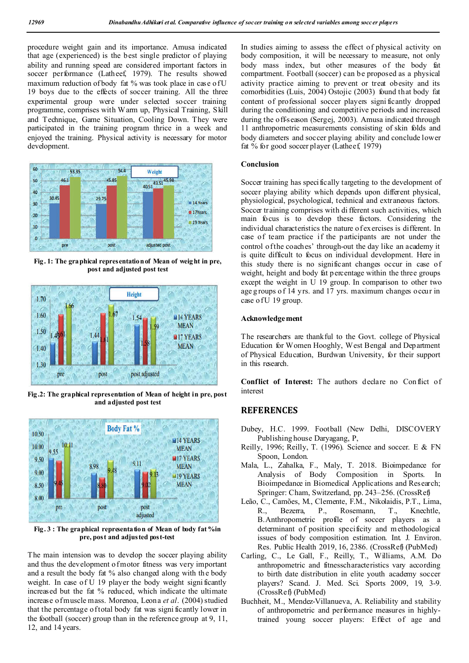procedure weight gain and its importance. Amusa indicated that age (experienced) is the best single predictor of playing ability and running speed are considered important factors in soccer performance (Latheef, 1979). The results showed maximum reduction of body fat % was took place in case of U 19 boys due to the effects of soccer training. All the three experimental group were under selected soccer training programme, comprises with Warm up, Physical Training, Skill and Technique, Game Situation, Cooling Down. They were participated in the training program thrice in a week and enjoyed the training. Physical activity is necessary for motor development.



**Fig. 1: The graphical representation of Mean of weight in pre, post and adjusted post test**



**Fig.2: The graphical representation of Mean of height in pre, post and adjusted post test**



Fig. 3 : The graphical representation of Mean of body fat <sup>%</sup>in **pre, post and adjusted post-test**

The main intension was to develop the soccer playing ability and thus the development o fmotor fitness was very important and a result the body fat % also changed along with the body weight. In case of U 19 player the body weight significantly increased but the fat % reduced, which indicate the ultimate increase of muscle mass. Morenoa, Leona *et al*. (2004) studied that the percentage of total body fat was signi ficantly lower in the football (soccer) group than in the reference group at 9, 11, 12, and 14 years.

In studies aiming to assess the effect of physical activity on body composition, it will be necessary to measure, not only body mass index, but other measures of the body fat compartment. Football (soccer) can be proposed as a physical activity practice aiming to prevent or treat obesity and its comorbidities (Luis, 2004) Ostojic (2003) found that body fat content of professional soccer players signi ficantly dropped during the conditioning and competitive periods and increased during the off-season (Sergej, 2003). Amusa indicated through 11 anthropometric measurements consisting of skin folds and body diameters and soccer playing ability and conclude lower fat % for good soccer player (Latheef, 1979)

## **Conclusion**

Soccer training has specifically targeting to the development of soccer playing ability which depends upon different physical, physiological, psychological, technical and extraneous factors. Soccer training comprises with di fferent such activities, which main focus is to develop these factors. Considering the individual characteristics the nature of exercises is different. In case of team practice if the participants are not under the control of the coaches' through-out the day like an academy it is quite difficult to focus on individual development. Here in this study there is no significant changes occur in case of weight, height and body fat p ercentage within the three groups except the weight in U 19 group. In comparison to other two age g roups o f 14 yrs. and 17 yrs. maximum changes occur in case of U 19 group.

### **Acknowledgement**

The researchers are thankful to the Govt. college of Physical Education for Women Hooghly, West Bengal and Department of Physical Education, Burdwan University, for their support in this research.

Conflict of Interest: The authors declare no Conflict of interest

# **REFERENCES**

- Dubey, H.C. 1999. Football (New Delhi, DISCOVERY Publishing house Daryagang, P,
- Reilly, 1996; Reilly, T. (1996). Science and soccer. E & FN Spoon, London.
- Mala, L., Zahalka, F., Maly, T. 2018. Bioimpedance for Analysis of Body Composition in Sports. In Bioimpedance in Biomedical Applications and Research; Springer: Cham, Switzerland, pp. 243–256. (CrossRef)
- Leão, C., Camões, M., Clemente, F.M., Nikolaidis, P.T., Lima, R., Bezerra, P., Rosemann, T., Knechtle, B.Anthropometric profile of soccer players as a determinant of position specificity and methodological issues of body composition estimation. Int. J. Environ. Res. Public Health 2019, 16, 2386. (CrossRef) (PubMed)
- Carling, C., Le Gall, F., Reilly, T., Williams, A.M. Do anthropometric and fitnesscharacteristics vary according to birth date distribution in elite youth academy soccer players? Scand. J. Med. Sci. Sports 2009, 19, 3-9. (CrossRef) (PubMed)
- Buchheit, M., Mendez-Villanueva, A. Reliability and stability of anthropometric and performance measures in highlytrained young soccer players: Effect of age and